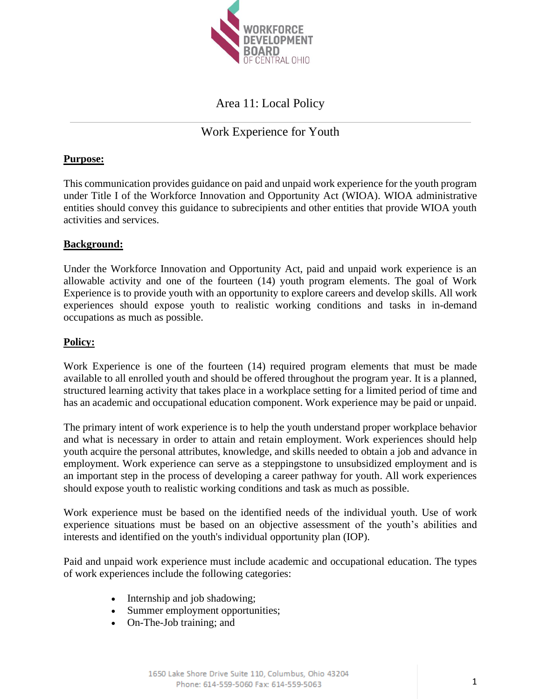

## Area 11: Local Policy

## Work Experience for Youth

### **Purpose:**

This communication provides guidance on paid and unpaid work experience for the youth program under Title I of the Workforce Innovation and Opportunity Act (WIOA). WIOA administrative entities should convey this guidance to subrecipients and other entities that provide WIOA youth activities and services.

### **Background:**

Under the Workforce Innovation and Opportunity Act, paid and unpaid work experience is an allowable activity and one of the fourteen (14) youth program elements. The goal of Work Experience is to provide youth with an opportunity to explore careers and develop skills. All work experiences should expose youth to realistic working conditions and tasks in in-demand occupations as much as possible.

### **Policy:**

Work Experience is one of the fourteen (14) required program elements that must be made available to all enrolled youth and should be offered throughout the program year. It is a planned, structured learning activity that takes place in a workplace setting for a limited period of time and has an academic and occupational education component. Work experience may be paid or unpaid.

The primary intent of work experience is to help the youth understand proper workplace behavior and what is necessary in order to attain and retain employment. Work experiences should help youth acquire the personal attributes, knowledge, and skills needed to obtain a job and advance in employment. Work experience can serve as a steppingstone to unsubsidized employment and is an important step in the process of developing a career pathway for youth. All work experiences should expose youth to realistic working conditions and task as much as possible.

Work experience must be based on the identified needs of the individual youth. Use of work experience situations must be based on an objective assessment of the youth's abilities and interests and identified on the youth's individual opportunity plan (IOP).

Paid and unpaid work experience must include academic and occupational education. The types of work experiences include the following categories:

- Internship and job shadowing;
- Summer employment opportunities;
- On-The-Job training; and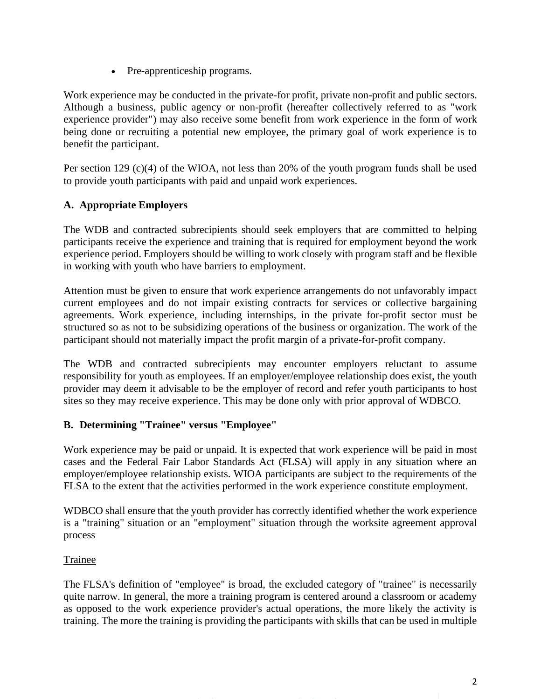• Pre-apprenticeship programs.

Work experience may be conducted in the private-for profit, private non-profit and public sectors. Although a business, public agency or non-profit (hereafter collectively referred to as "work experience provider") may also receive some benefit from work experience in the form of work being done or recruiting a potential new employee, the primary goal of work experience is to benefit the participant.

Per section 129  $(c)(4)$  of the WIOA, not less than 20% of the youth program funds shall be used to provide youth participants with paid and unpaid work experiences.

### **A. Appropriate Employers**

The WDB and contracted subrecipients should seek employers that are committed to helping participants receive the experience and training that is required for employment beyond the work experience period. Employers should be willing to work closely with program staff and be flexible in working with youth who have barriers to employment.

Attention must be given to ensure that work experience arrangements do not unfavorably impact current employees and do not impair existing contracts for services or collective bargaining agreements. Work experience, including internships, in the private for-profit sector must be structured so as not to be subsidizing operations of the business or organization. The work of the participant should not materially impact the profit margin of a private-for-profit company.

The WDB and contracted subrecipients may encounter employers reluctant to assume responsibility for youth as employees. If an employer/employee relationship does exist, the youth provider may deem it advisable to be the employer of record and refer youth participants to host sites so they may receive experience. This may be done only with prior approval of WDBCO.

### **B. Determining "Trainee" versus "Employee"**

Work experience may be paid or unpaid. It is expected that work experience will be paid in most cases and the Federal Fair Labor Standards Act (FLSA) will apply in any situation where an employer/employee relationship exists. WIOA participants are subject to the requirements of the FLSA to the extent that the activities performed in the work experience constitute employment.

WDBCO shall ensure that the youth provider has correctly identified whether the work experience is a "training" situation or an "employment" situation through the worksite agreement approval process

### Trainee

The FLSA's definition of "employee" is broad, the excluded category of "trainee" is necessarily quite narrow. In general, the more a training program is centered around a classroom or academy as opposed to the work experience provider's actual operations, the more likely the activity is training. The more the training is providing the participants with skills that can be used in multiple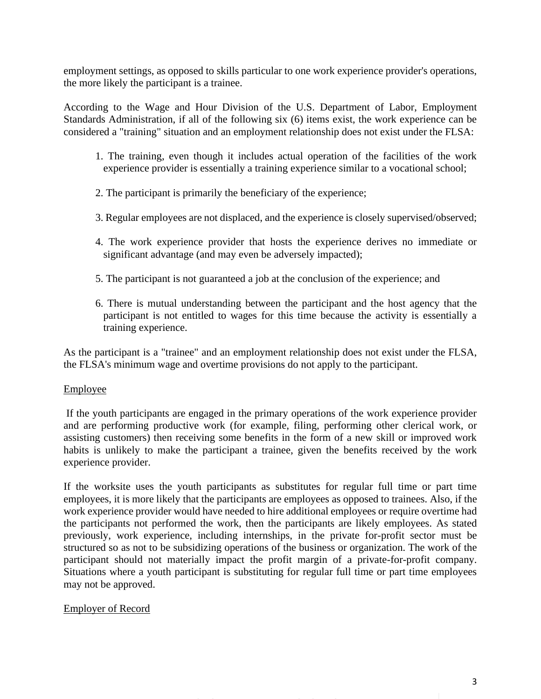employment settings, as opposed to skills particular to one work experience provider's operations, the more likely the participant is a trainee.

According to the Wage and Hour Division of the U.S. Department of Labor, Employment Standards Administration, if all of the following six (6) items exist, the work experience can be considered a "training" situation and an employment relationship does not exist under the FLSA:

- 1. The training, even though it includes actual operation of the facilities of the work experience provider is essentially a training experience similar to a vocational school;
- 2. The participant is primarily the beneficiary of the experience;
- 3. Regular employees are not displaced, and the experience is closely supervised/observed;
- 4. The work experience provider that hosts the experience derives no immediate or significant advantage (and may even be adversely impacted);
- 5. The participant is not guaranteed a job at the conclusion of the experience; and
- 6. There is mutual understanding between the participant and the host agency that the participant is not entitled to wages for this time because the activity is essentially a training experience.

As the participant is a "trainee" and an employment relationship does not exist under the FLSA, the FLSA's minimum wage and overtime provisions do not apply to the participant.

### Employee

If the youth participants are engaged in the primary operations of the work experience provider and are performing productive work (for example, filing, performing other clerical work, or assisting customers) then receiving some benefits in the form of a new skill or improved work habits is unlikely to make the participant a trainee, given the benefits received by the work experience provider.

If the worksite uses the youth participants as substitutes for regular full time or part time employees, it is more likely that the participants are employees as opposed to trainees. Also, if the work experience provider would have needed to hire additional employees or require overtime had the participants not performed the work, then the participants are likely employees. As stated previously, work experience, including internships, in the private for-profit sector must be structured so as not to be subsidizing operations of the business or organization. The work of the participant should not materially impact the profit margin of a private-for-profit company. Situations where a youth participant is substituting for regular full time or part time employees may not be approved.

### Employer of Record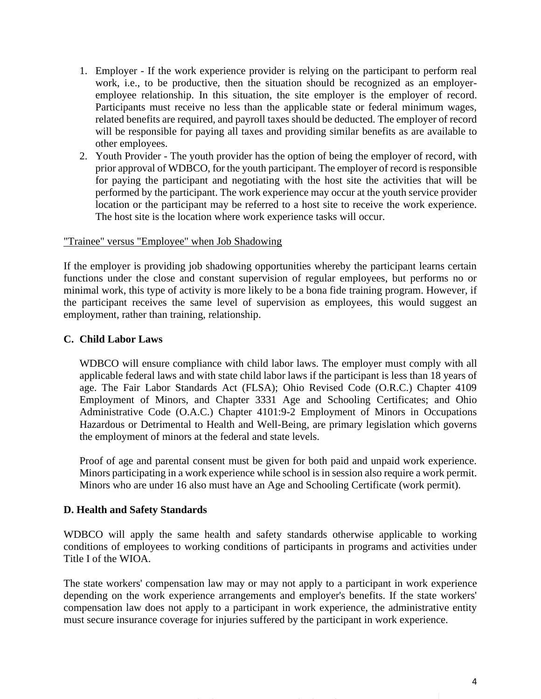- 1. Employer If the work experience provider is relying on the participant to perform real work, i.e., to be productive, then the situation should be recognized as an employeremployee relationship. In this situation, the site employer is the employer of record. Participants must receive no less than the applicable state or federal minimum wages, related benefits are required, and payroll taxes should be deducted. The employer of record will be responsible for paying all taxes and providing similar benefits as are available to other employees.
- 2. Youth Provider The youth provider has the option of being the employer of record, with prior approval of WDBCO, for the youth participant. The employer of record is responsible for paying the participant and negotiating with the host site the activities that will be performed by the participant. The work experience may occur at the youth service provider location or the participant may be referred to a host site to receive the work experience. The host site is the location where work experience tasks will occur.

### "Trainee" versus "Employee" when Job Shadowing

If the employer is providing job shadowing opportunities whereby the participant learns certain functions under the close and constant supervision of regular employees, but performs no or minimal work, this type of activity is more likely to be a bona fide training program. However, if the participant receives the same level of supervision as employees, this would suggest an employment, rather than training, relationship.

### **C. Child Labor Laws**

WDBCO will ensure compliance with child labor laws. The employer must comply with all applicable federal laws and with state child labor laws if the participant is less than 18 years of age. The Fair Labor Standards Act (FLSA); Ohio Revised Code (O.R.C.) Chapter 4109 Employment of Minors, and Chapter 3331 Age and Schooling Certificates; and Ohio Administrative Code (O.A.C.) Chapter 4101:9-2 Employment of Minors in Occupations Hazardous or Detrimental to Health and Well-Being, are primary legislation which governs the employment of minors at the federal and state levels.

Proof of age and parental consent must be given for both paid and unpaid work experience. Minors participating in a work experience while school is in session also require a work permit. Minors who are under 16 also must have an Age and Schooling Certificate (work permit).

### **D. Health and Safety Standards**

WDBCO will apply the same health and safety standards otherwise applicable to working conditions of employees to working conditions of participants in programs and activities under Title I of the WIOA.

The state workers' compensation law may or may not apply to a participant in work experience depending on the work experience arrangements and employer's benefits. If the state workers' compensation law does not apply to a participant in work experience, the administrative entity must secure insurance coverage for injuries suffered by the participant in work experience.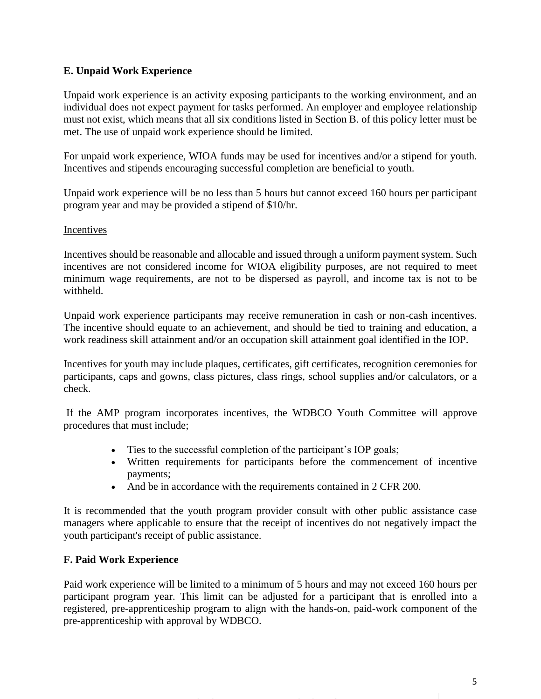### **E. Unpaid Work Experience**

Unpaid work experience is an activity exposing participants to the working environment, and an individual does not expect payment for tasks performed. An employer and employee relationship must not exist, which means that all six conditions listed in Section B. of this policy letter must be met. The use of unpaid work experience should be limited.

For unpaid work experience, WIOA funds may be used for incentives and/or a stipend for youth. Incentives and stipends encouraging successful completion are beneficial to youth.

Unpaid work experience will be no less than 5 hours but cannot exceed 160 hours per participant program year and may be provided a stipend of \$10/hr.

### Incentives

Incentives should be reasonable and allocable and issued through a uniform payment system. Such incentives are not considered income for WIOA eligibility purposes, are not required to meet minimum wage requirements, are not to be dispersed as payroll, and income tax is not to be withheld.

Unpaid work experience participants may receive remuneration in cash or non-cash incentives. The incentive should equate to an achievement, and should be tied to training and education, a work readiness skill attainment and/or an occupation skill attainment goal identified in the IOP.

Incentives for youth may include plaques, certificates, gift certificates, recognition ceremonies for participants, caps and gowns, class pictures, class rings, school supplies and/or calculators, or a check.

If the AMP program incorporates incentives, the WDBCO Youth Committee will approve procedures that must include;

- Ties to the successful completion of the participant's IOP goals;
- Written requirements for participants before the commencement of incentive payments;
- And be in accordance with the requirements contained in 2 CFR 200.

It is recommended that the youth program provider consult with other public assistance case managers where applicable to ensure that the receipt of incentives do not negatively impact the youth participant's receipt of public assistance.

### **F. Paid Work Experience**

Paid work experience will be limited to a minimum of 5 hours and may not exceed 160 hours per participant program year. This limit can be adjusted for a participant that is enrolled into a registered, pre-apprenticeship program to align with the hands-on, paid-work component of the pre-apprenticeship with approval by WDBCO.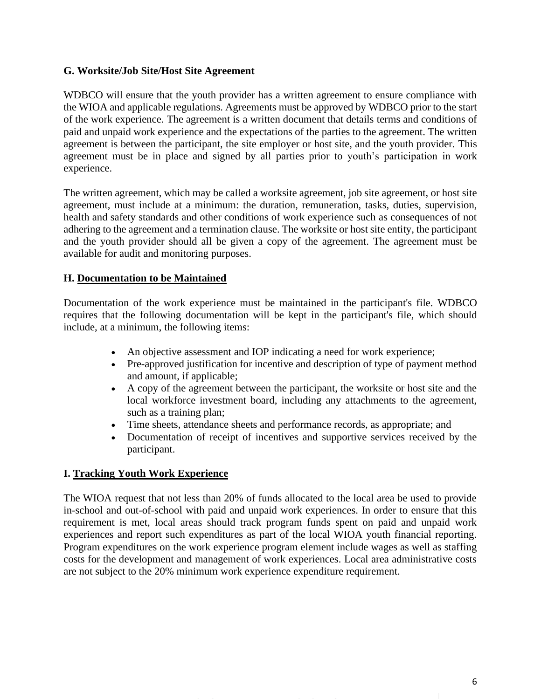### **G. Worksite/Job Site/Host Site Agreement**

WDBCO will ensure that the youth provider has a written agreement to ensure compliance with the WIOA and applicable regulations. Agreements must be approved by WDBCO prior to the start of the work experience. The agreement is a written document that details terms and conditions of paid and unpaid work experience and the expectations of the parties to the agreement. The written agreement is between the participant, the site employer or host site, and the youth provider. This agreement must be in place and signed by all parties prior to youth's participation in work experience.

The written agreement, which may be called a worksite agreement, job site agreement, or host site agreement, must include at a minimum: the duration, remuneration, tasks, duties, supervision, health and safety standards and other conditions of work experience such as consequences of not adhering to the agreement and a termination clause. The worksite or host site entity, the participant and the youth provider should all be given a copy of the agreement. The agreement must be available for audit and monitoring purposes.

### **H. Documentation to be Maintained**

Documentation of the work experience must be maintained in the participant's file. WDBCO requires that the following documentation will be kept in the participant's file, which should include, at a minimum, the following items:

- An objective assessment and IOP indicating a need for work experience;
- Pre-approved justification for incentive and description of type of payment method and amount, if applicable;
- A copy of the agreement between the participant, the worksite or host site and the local workforce investment board, including any attachments to the agreement, such as a training plan;
- Time sheets, attendance sheets and performance records, as appropriate; and
- Documentation of receipt of incentives and supportive services received by the participant.

### **I. Tracking Youth Work Experience**

The WIOA request that not less than 20% of funds allocated to the local area be used to provide in-school and out-of-school with paid and unpaid work experiences. In order to ensure that this requirement is met, local areas should track program funds spent on paid and unpaid work experiences and report such expenditures as part of the local WIOA youth financial reporting. Program expenditures on the work experience program element include wages as well as staffing costs for the development and management of work experiences. Local area administrative costs are not subject to the 20% minimum work experience expenditure requirement.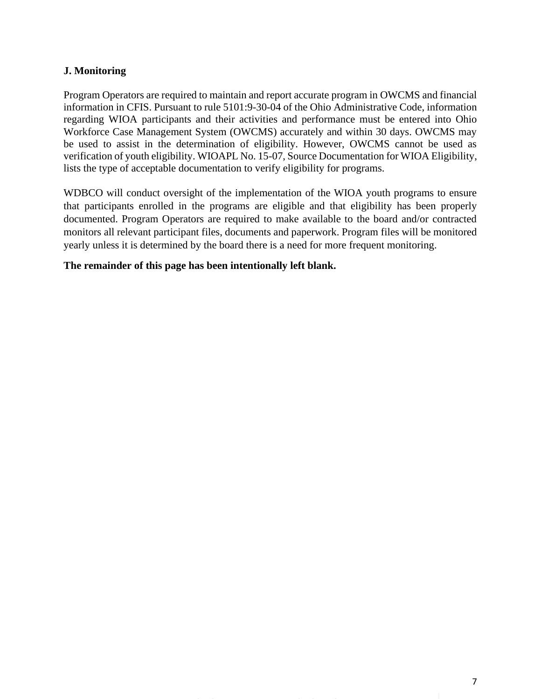### **J. Monitoring**

Program Operators are required to maintain and report accurate program in OWCMS and financial information in CFIS. Pursuant to rule 5101:9-30-04 of the Ohio Administrative Code, information regarding WIOA participants and their activities and performance must be entered into Ohio Workforce Case Management System (OWCMS) accurately and within 30 days. OWCMS may be used to assist in the determination of eligibility. However, OWCMS cannot be used as verification of youth eligibility. WIOAPL No. 15-07, Source Documentation for WIOA Eligibility, lists the type of acceptable documentation to verify eligibility for programs.

WDBCO will conduct oversight of the implementation of the WIOA youth programs to ensure that participants enrolled in the programs are eligible and that eligibility has been properly documented. Program Operators are required to make available to the board and/or contracted monitors all relevant participant files, documents and paperwork. Program files will be monitored yearly unless it is determined by the board there is a need for more frequent monitoring.

### **The remainder of this page has been intentionally left blank.**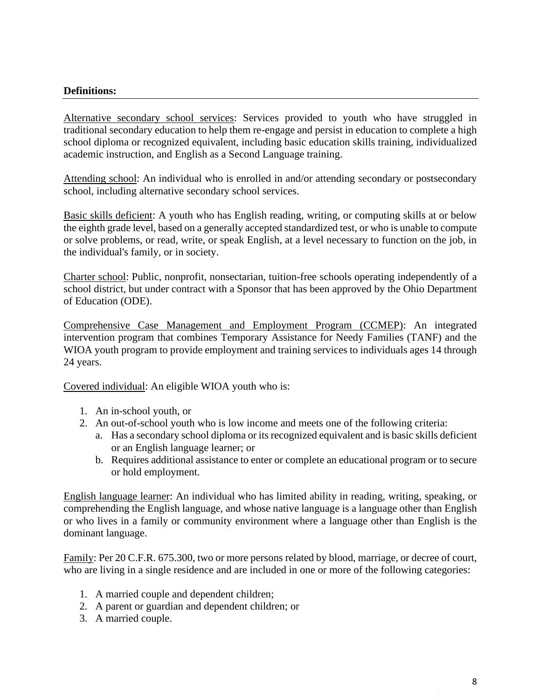### **Definitions:**

Alternative secondary school services: Services provided to youth who have struggled in traditional secondary education to help them re-engage and persist in education to complete a high school diploma or recognized equivalent, including basic education skills training, individualized academic instruction, and English as a Second Language training.

Attending school: An individual who is enrolled in and/or attending secondary or postsecondary school, including alternative secondary school services.

Basic skills deficient: A youth who has English reading, writing, or computing skills at or below the eighth grade level, based on a generally accepted standardized test, or who is unable to compute or solve problems, or read, write, or speak English, at a level necessary to function on the job, in the individual's family, or in society.

Charter school: Public, nonprofit, nonsectarian, tuition-free schools operating independently of a school district, but under contract with a Sponsor that has been approved by the Ohio Department of Education (ODE).

Comprehensive Case Management and Employment Program (CCMEP): An integrated intervention program that combines Temporary Assistance for Needy Families (TANF) and the WIOA youth program to provide employment and training services to individuals ages 14 through 24 years.

Covered individual: An eligible WIOA youth who is:

- 1. An in-school youth, or
- 2. An out-of-school youth who is low income and meets one of the following criteria:
	- a. Has a secondary school diploma or its recognized equivalent and is basic skills deficient or an English language learner; or
	- b. Requires additional assistance to enter or complete an educational program or to secure or hold employment.

English language learner: An individual who has limited ability in reading, writing, speaking, or comprehending the English language, and whose native language is a language other than English or who lives in a family or community environment where a language other than English is the dominant language.

Family: Per 20 C.F.R. 675.300, two or more persons related by blood, marriage, or decree of court, who are living in a single residence and are included in one or more of the following categories:

- 1. A married couple and dependent children;
- 2. A parent or guardian and dependent children; or
- 3. A married couple.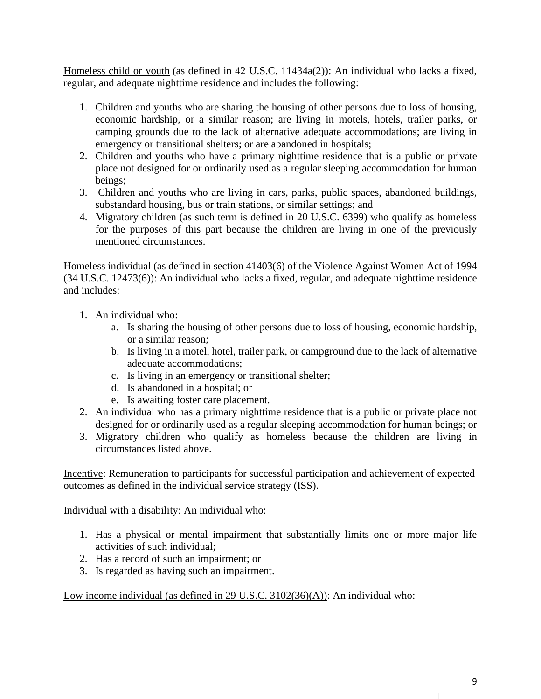Homeless child or youth (as defined in 42 U.S.C. 11434a(2)): An individual who lacks a fixed, regular, and adequate nighttime residence and includes the following:

- 1. Children and youths who are sharing the housing of other persons due to loss of housing, economic hardship, or a similar reason; are living in motels, hotels, trailer parks, or camping grounds due to the lack of alternative adequate accommodations; are living in emergency or transitional shelters; or are abandoned in hospitals;
- 2. Children and youths who have a primary nighttime residence that is a public or private place not designed for or ordinarily used as a regular sleeping accommodation for human beings;
- 3. Children and youths who are living in cars, parks, public spaces, abandoned buildings, substandard housing, bus or train stations, or similar settings; and
- 4. Migratory children (as such term is defined in 20 U.S.C. 6399) who qualify as homeless for the purposes of this part because the children are living in one of the previously mentioned circumstances.

Homeless individual (as defined in section 41403(6) of the Violence Against Women Act of 1994 (34 U.S.C. 12473(6)): An individual who lacks a fixed, regular, and adequate nighttime residence and includes:

- 1. An individual who:
	- a. Is sharing the housing of other persons due to loss of housing, economic hardship, or a similar reason;
	- b. Is living in a motel, hotel, trailer park, or campground due to the lack of alternative adequate accommodations;
	- c. Is living in an emergency or transitional shelter;
	- d. Is abandoned in a hospital; or
	- e. Is awaiting foster care placement.
- 2. An individual who has a primary nighttime residence that is a public or private place not designed for or ordinarily used as a regular sleeping accommodation for human beings; or
- 3. Migratory children who qualify as homeless because the children are living in circumstances listed above.

Incentive: Remuneration to participants for successful participation and achievement of expected outcomes as defined in the individual service strategy (ISS).

Individual with a disability: An individual who:

- 1. Has a physical or mental impairment that substantially limits one or more major life activities of such individual;
- 2. Has a record of such an impairment; or
- 3. Is regarded as having such an impairment.

Low income individual (as defined in 29 U.S.C. 3102(36)(A)): An individual who: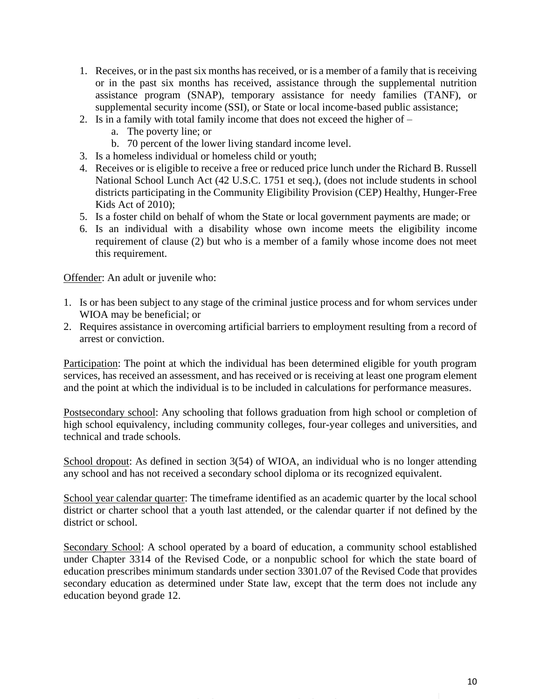- 1. Receives, or in the past six months has received, or is a member of a family that is receiving or in the past six months has received, assistance through the supplemental nutrition assistance program (SNAP), temporary assistance for needy families (TANF), or supplemental security income (SSI), or State or local income-based public assistance;
- 2. Is in a family with total family income that does not exceed the higher of
	- a. The poverty line; or
	- b. 70 percent of the lower living standard income level.
- 3. Is a homeless individual or homeless child or youth;
- 4. Receives or is eligible to receive a free or reduced price lunch under the Richard B. Russell National School Lunch Act (42 U.S.C. 1751 et seq.), (does not include students in school districts participating in the Community Eligibility Provision (CEP) Healthy, Hunger-Free Kids Act of 2010);
- 5. Is a foster child on behalf of whom the State or local government payments are made; or
- 6. Is an individual with a disability whose own income meets the eligibility income requirement of clause (2) but who is a member of a family whose income does not meet this requirement.

Offender: An adult or juvenile who:

- 1. Is or has been subject to any stage of the criminal justice process and for whom services under WIOA may be beneficial; or
- 2. Requires assistance in overcoming artificial barriers to employment resulting from a record of arrest or conviction.

Participation: The point at which the individual has been determined eligible for youth program services, has received an assessment, and has received or is receiving at least one program element and the point at which the individual is to be included in calculations for performance measures.

Postsecondary school: Any schooling that follows graduation from high school or completion of high school equivalency, including community colleges, four-year colleges and universities, and technical and trade schools.

School dropout: As defined in section 3(54) of WIOA, an individual who is no longer attending any school and has not received a secondary school diploma or its recognized equivalent.

School year calendar quarter: The timeframe identified as an academic quarter by the local school district or charter school that a youth last attended, or the calendar quarter if not defined by the district or school.

Secondary School: A school operated by a board of education, a community school established under Chapter 3314 of the Revised Code, or a nonpublic school for which the state board of education prescribes minimum standards under section 3301.07 of the Revised Code that provides secondary education as determined under State law, except that the term does not include any education beyond grade 12.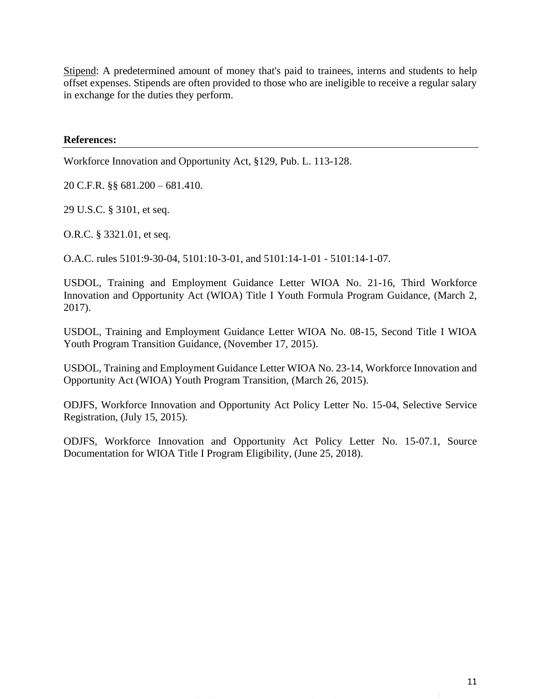Stipend: A predetermined amount of money that's paid to trainees, interns and students to help offset expenses. Stipends are often provided to those who are ineligible to receive a regular salary in exchange for the duties they perform.

**References:**

Workforce Innovation and Opportunity Act, §129, Pub. L. 113-128.

20 C.F.R. §§ 681.200 – 681.410.

29 U.S.C. § 3101, et seq.

O.R.C. § 3321.01, et seq.

O.A.C. rules 5101:9-30-04, 5101:10-3-01, and 5101:14-1-01 - 5101:14-1-07.

USDOL, Training and Employment Guidance Letter WIOA No. 21-16, Third Workforce Innovation and Opportunity Act (WIOA) Title I Youth Formula Program Guidance, (March 2, 2017).

USDOL, Training and Employment Guidance Letter WIOA No. 08-15, Second Title I WIOA Youth Program Transition Guidance, (November 17, 2015).

USDOL, Training and Employment Guidance Letter WIOA No. 23-14, Workforce Innovation and Opportunity Act (WIOA) Youth Program Transition, (March 26, 2015).

ODJFS, Workforce Innovation and Opportunity Act Policy Letter No. 15-04, Selective Service Registration, (July 15, 2015).

ODJFS, Workforce Innovation and Opportunity Act Policy Letter No. 15-07.1, Source Documentation for WIOA Title I Program Eligibility, (June 25, 2018).